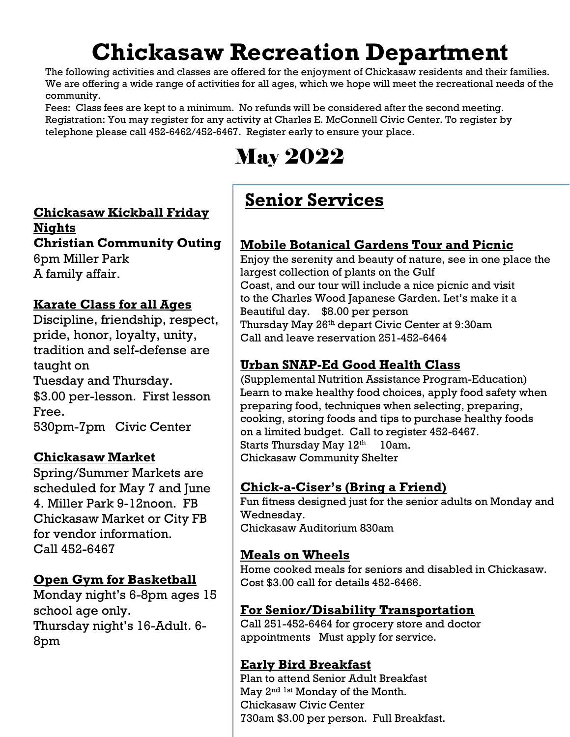# **Chickasaw Recreation Department**

The following activities and classes are offered for the enjoyment of Chickasaw residents and their families. We are offering a wide range of activities for all ages, which we hope will meet the recreational needs of the community.

Fees: Class fees are kept to a minimum. No refunds will be considered after the second meeting. Registration: You may register for any activity at Charles E. McConnell Civic Center. To register by telephone please call 452-6462/452-6467. Register early to ensure your place.

# May 2022

#### **Chickasaw Kickball Friday**

**Nights**

**Christian Community Outing**

6pm Miller Park A family affair.

#### **Karate Class for all Ages**

Discipline, friendship, respect, pride, honor, loyalty, unity, tradition and self-defense are taught on

Tuesday and Thursday. \$3.00 per-lesson. First lesson Free.

530pm-7pm Civic Center

#### **Chickasaw Market**

Spring/Summer Markets are scheduled for May 7 and June 4. Miller Park 9-12noon. FB Chickasaw Market or City FB for vendor information. Call 452-6467

#### **Open Gym for Basketball**

Monday night's 6-8pm ages 15 school age only. Thursday night's 16-Adult. 6- 8pm

### **Senior Services**

#### **Mobile Botanical Gardens Tour and Picnic**

Enjoy the serenity and beauty of nature, see in one place the largest collection of plants on the Gulf Coast, and our tour will include a nice picnic and visit to the Charles Wood Japanese Garden. Let's make it a Beautiful day. \$8.00 per person Thursday May 26th depart Civic Center at 9:30am Call and leave reservation 251-452-6464

#### **Urban SNAP-Ed Good Health Class**

(Supplemental Nutrition Assistance Program-Education) Learn to make healthy food choices, apply food safety when preparing food, techniques when selecting, preparing, cooking, storing foods and tips to purchase healthy foods on a limited budget. Call to register 452-6467. Starts Thursday May 12th 10am. Chickasaw Community Shelter

#### **Chick-a-Ciser's (Bring a Friend)**

Fun fitness designed just for the senior adults on Monday and Wednesday. Chickasaw Auditorium 830am

#### **Meals on Wheels**

Home cooked meals for seniors and disabled in Chickasaw. Cost \$3.00 call for details 452-6466.

#### **For Senior/Disability Transportation**

Call 251-452-6464 for grocery store and doctor appointments Must apply for service.

#### **Early Bird Breakfast**

Plan to attend Senior Adult Breakfast May 2<sup>nd 1st</sup> Monday of the Month. Chickasaw Civic Center 730am \$3.00 per person. Full Breakfast.